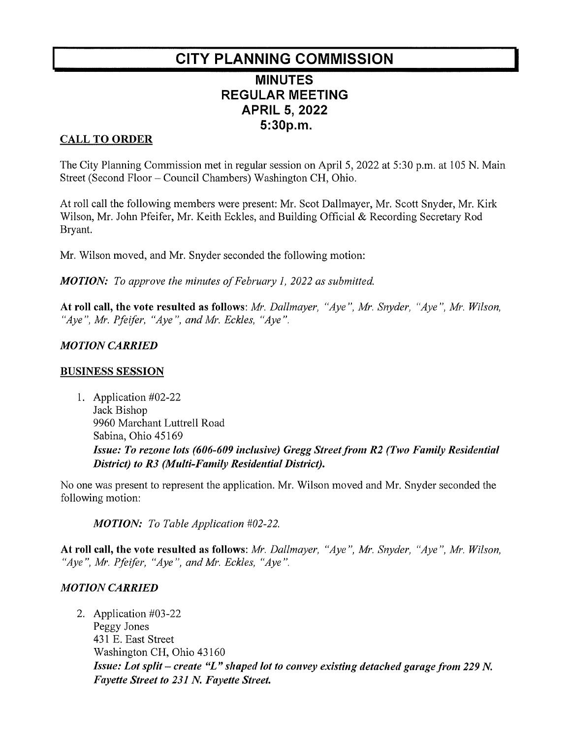# CITY PLANNING COMMISSION

# MINUTES **REGULAR MEETING** APRIL 5, 2022 5:30p.m.

### **CALL TO ORDER**

The City Planning Commission met in regular session on April 5, 2022 at 5:30 p.m. at 105 N. Main Street (Second Floor – Council Chambers) Washington CH, Ohio.

Atroll call the following members were present: Mr. Scot Dallmayer, Mr. Scott Snyder, Mr. Kirk Wilson, Mr. John Pfeifer, Mr. Keith Eckles, and Building Official & Recording Secretary Rod Bryant.

Mr. Wilson moved, and Mr. Snyder seconded the following motion:

**MOTION:** To approve the minutes of February 1, 2022 as submitted.

At roll call, the vote resulted as follows: Mr. Dallmayer, "Aye", Mr. Snyder, "Aye", Mr. Wilson, "Aye", Mr. Pfeifer, "Aye", and Mr. Eckles, "Aye".

#### **MOTION CARRIED**

#### **BUSINESS SESSION**

1. Application #02-22 Jack Bishop 9960 Marchant Luttrell Road Sabina, Ohio 45169 Issue: To rezone lots (606-609 inclusive) Gregg Street from R2 (Two Family Residential District) to R3 (Multi-Family Residential District).

No one was present to represent the application. Mr. Wilson moved and Mr. Snyder seconded the following motion:

MOTION: To Table Application #02-22.

At roll call, the vote resulted as follows: Mr. Dallmayer, "Aye", Mr. Snyder, "Aye", Mr. Wilson, "Aye", Mr. Pfeifer, "Aye", and Mr. Eckles, "Aye".

#### **MOTION CARRIED**

2. Application #03-22 Peggy Jones 431 E. East Street Washington CH, Ohio 43160 Issue: Lot split - create "L" shaped lot to convey existing detached garage from 229 N. Fayette Street to 231 N. Fayette Street.